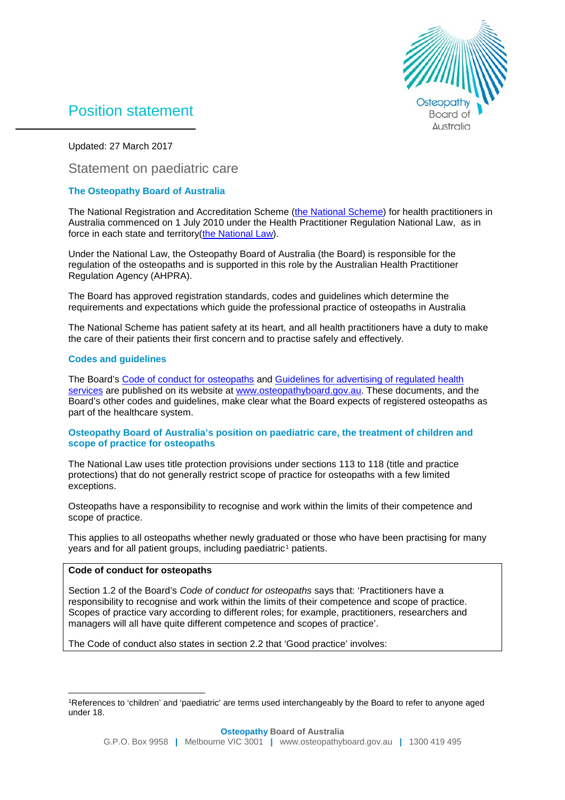

# Position statement

Updated: 27 March 2017

# Statement on paediatric care

## **The Osteopathy Board of Australia**

The National Registration and Accreditation Scheme [\(the National Scheme\)](http://www.ahpra.gov.au/Support/FAQ.aspx) for health practitioners in Australia commenced on 1 July 2010 under the Health Practitioner Regulation National Law, as in force in each state and territory[\(the National Law\)](http://www.ahpra.gov.au/Legislation-and-Publications/Legislation.aspx).

Under the National Law, the Osteopathy Board of Australia (the Board) is responsible for the regulation of the osteopaths and is supported in this role by the Australian Health Practitioner Regulation Agency (AHPRA).

The Board has approved registration standards, codes and guidelines which determine the requirements and expectations which guide the professional practice of osteopaths in Australia

The National Scheme has patient safety at its heart, and all health practitioners have a duty to make the care of their patients their first concern and to practise safely and effectively.

## **Codes and guidelines**

The Board's [Code of conduct for osteopaths](http://www.osteopathyboard.gov.au/Codes-Guidelines/Code-of-conduct.aspx) and Guidelines for advertising of regulated health [services](http://www.osteopathyboard.gov.au/Codes-Guidelines/Guidelines-for-advertising-regulated-health-services.aspx) are published on its website at [www.osteopathyboard.gov.au.](http://www.osteopathyboard.gov.au/) These documents, and the Board's other codes and guidelines, make clear what the Board expects of registered osteopaths as part of the healthcare system.

#### **Osteopathy Board of Australia's position on paediatric care, the treatment of children and scope of practice for osteopaths**

The National Law uses title protection provisions under sections 113 to 118 (title and practice protections) that do not generally restrict scope of practice for osteopaths with a few limited exceptions.

Osteopaths have a responsibility to recognise and work within the limits of their competence and scope of practice.

This applies to all osteopaths whether newly graduated or those who have been practising for many years and for all patient groups, including paediatric<sup>[1](#page-0-0)</sup> patients.

## **Code of conduct for osteopaths**

Section 1.2 of the Board's *Code of conduct for osteopaths* says that: 'Practitioners have a responsibility to recognise and work within the limits of their competence and scope of practice. Scopes of practice vary according to different roles; for example, practitioners, researchers and managers will all have quite different competence and scopes of practice'.

The Code of conduct also states in section 2.2 that 'Good practice' involves:

<span id="page-0-0"></span> <sup>1</sup>References to 'children' and 'paediatric' are terms used interchangeably by the Board to refer to anyone aged under 18.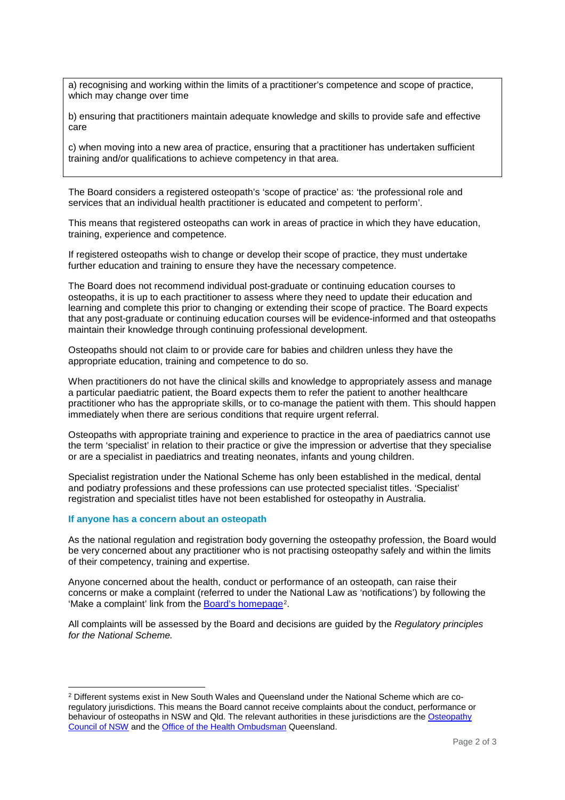a) recognising and working within the limits of a practitioner's competence and scope of practice, which may change over time

b) ensuring that practitioners maintain adequate knowledge and skills to provide safe and effective care

c) when moving into a new area of practice, ensuring that a practitioner has undertaken sufficient training and/or qualifications to achieve competency in that area.

The Board considers a registered osteopath's 'scope of practice' as: 'the professional role and services that an individual health practitioner is educated and competent to perform'.

This means that registered osteopaths can work in areas of practice in which they have education, training, experience and competence.

If registered osteopaths wish to change or develop their scope of practice, they must undertake further education and training to ensure they have the necessary competence.

The Board does not recommend individual post-graduate or continuing education courses to osteopaths, it is up to each practitioner to assess where they need to update their education and learning and complete this prior to changing or extending their scope of practice. The Board expects that any post-graduate or continuing education courses will be evidence-informed and that osteopaths maintain their knowledge through continuing professional development.

Osteopaths should not claim to or provide care for babies and children unless they have the appropriate education, training and competence to do so.

When practitioners do not have the clinical skills and knowledge to appropriately assess and manage a particular paediatric patient, the Board expects them to refer the patient to another healthcare practitioner who has the appropriate skills, or to co-manage the patient with them. This should happen immediately when there are serious conditions that require urgent referral.

Osteopaths with appropriate training and experience to practice in the area of paediatrics cannot use the term 'specialist' in relation to their practice or give the impression or advertise that they specialise or are a specialist in paediatrics and treating neonates, infants and young children.

Specialist registration under the National Scheme has only been established in the medical, dental and podiatry professions and these professions can use protected specialist titles. 'Specialist' registration and specialist titles have not been established for osteopathy in Australia.

#### **If anyone has a concern about an osteopath**

As the national regulation and registration body governing the osteopathy profession, the Board would be very concerned about any practitioner who is not practising osteopathy safely and within the limits of their competency, training and expertise.

Anyone concerned about the health, conduct or performance of an osteopath, can raise their concerns or make a complaint (referred to under the National Law as 'notifications') by following the 'Make a complaint' link from the [Board's homepage](http://www.osteopathyboard.gov.au/)<sup>[2](#page-1-0)</sup>.

All complaints will be assessed by the Board and decisions are guided by the *Regulatory principles for the National Scheme.*

<span id="page-1-0"></span> <sup>2</sup> Different systems exist in New South Wales and Queensland under the National Scheme which are coregulatory jurisdictions. This means the Board cannot receive complaints about the conduct, performance or behaviour of osteopaths in NSW and Qld. The relevant authorities in these jurisdictions are th[e Osteopathy](http://www.hpca.nsw.gov.au/Osteopaths-Council/Home/Home)  [Council of NSW](http://www.hpca.nsw.gov.au/Osteopaths-Council/Home/Home) and th[e Office of the Health Ombudsman](http://www.oho.qld.gov.au/) Queensland.